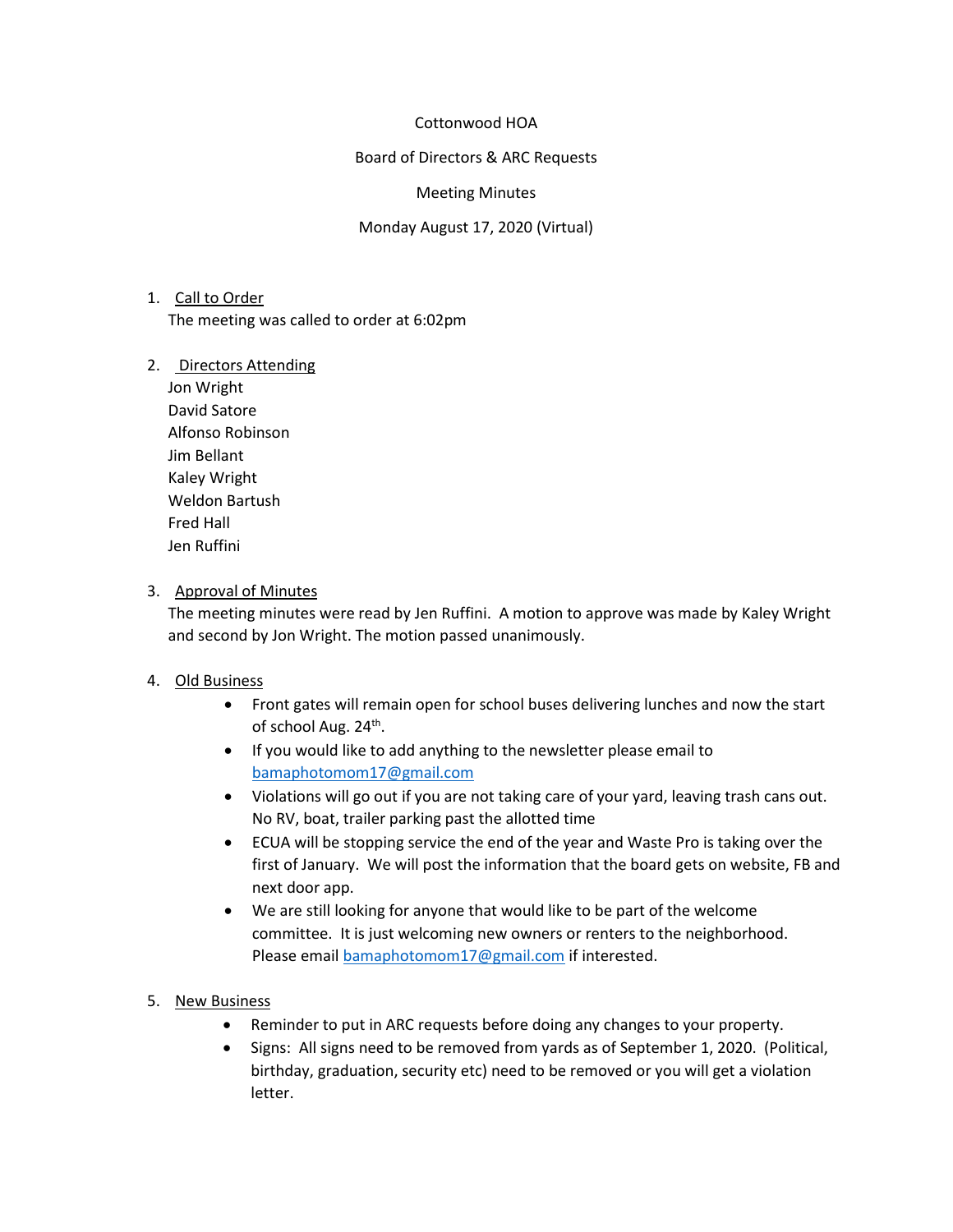### Cottonwood HOA

Board of Directors & ARC Requests

### Meeting Minutes

Monday August 17, 2020 (Virtual)

# 1. Call to Order

The meeting was called to order at 6:02pm

### 2. Directors Attending

Jon Wright David Satore Alfonso Robinson Jim Bellant Kaley Wright Weldon Bartush Fred Hall Jen Ruffini

### 3. Approval of Minutes

The meeting minutes were read by Jen Ruffini. A motion to approve was made by Kaley Wright and second by Jon Wright. The motion passed unanimously.

# 4. Old Business

- Front gates will remain open for school buses delivering lunches and now the start of school Aug. 24<sup>th</sup>.
- If you would like to add anything to the newsletter please email to [bamaphotomom17@gmail.com](mailto:bamaphotomom17@gmail.com)
- Violations will go out if you are not taking care of your yard, leaving trash cans out. No RV, boat, trailer parking past the allotted time
- ECUA will be stopping service the end of the year and Waste Pro is taking over the first of January. We will post the information that the board gets on website, FB and next door app.
- We are still looking for anyone that would like to be part of the welcome committee. It is just welcoming new owners or renters to the neighborhood. Please email [bamaphotomom17@gmail.com](mailto:bamaphotomom17@gmail.com) if interested.

# 5. New Business

- Reminder to put in ARC requests before doing any changes to your property.
- Signs: All signs need to be removed from yards as of September 1, 2020. (Political, birthday, graduation, security etc) need to be removed or you will get a violation letter.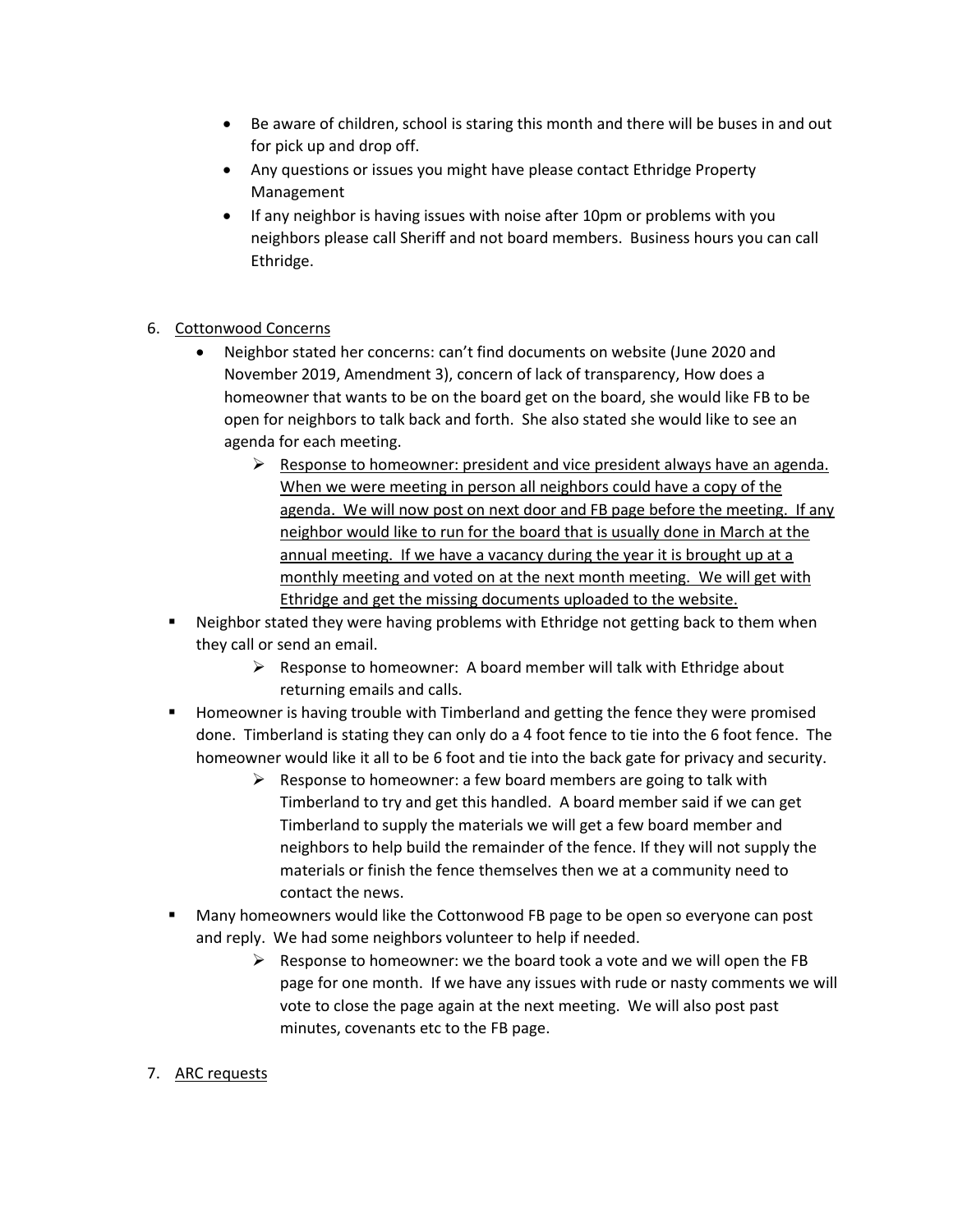- Be aware of children, school is staring this month and there will be buses in and out for pick up and drop off.
- Any questions or issues you might have please contact Ethridge Property Management
- If any neighbor is having issues with noise after 10pm or problems with you neighbors please call Sheriff and not board members. Business hours you can call Ethridge.

# 6. Cottonwood Concerns

- Neighbor stated her concerns: can't find documents on website (June 2020 and November 2019, Amendment 3), concern of lack of transparency, How does a homeowner that wants to be on the board get on the board, she would like FB to be open for neighbors to talk back and forth. She also stated she would like to see an agenda for each meeting.
	- $\triangleright$  Response to homeowner: president and vice president always have an agenda. When we were meeting in person all neighbors could have a copy of the agenda. We will now post on next door and FB page before the meeting. If any neighbor would like to run for the board that is usually done in March at the annual meeting. If we have a vacancy during the year it is brought up at a monthly meeting and voted on at the next month meeting. We will get with Ethridge and get the missing documents uploaded to the website.
- Neighbor stated they were having problems with Ethridge not getting back to them when they call or send an email.
	- $\triangleright$  Response to homeowner: A board member will talk with Ethridge about returning emails and calls.
- Homeowner is having trouble with Timberland and getting the fence they were promised done. Timberland is stating they can only do a 4 foot fence to tie into the 6 foot fence. The homeowner would like it all to be 6 foot and tie into the back gate for privacy and security.
	- $\triangleright$  Response to homeowner: a few board members are going to talk with Timberland to try and get this handled. A board member said if we can get Timberland to supply the materials we will get a few board member and neighbors to help build the remainder of the fence. If they will not supply the materials or finish the fence themselves then we at a community need to contact the news.
- Many homeowners would like the Cottonwood FB page to be open so everyone can post and reply. We had some neighbors volunteer to help if needed.
	- $\triangleright$  Response to homeowner: we the board took a vote and we will open the FB page for one month. If we have any issues with rude or nasty comments we will vote to close the page again at the next meeting. We will also post past minutes, covenants etc to the FB page.

# 7. ARC requests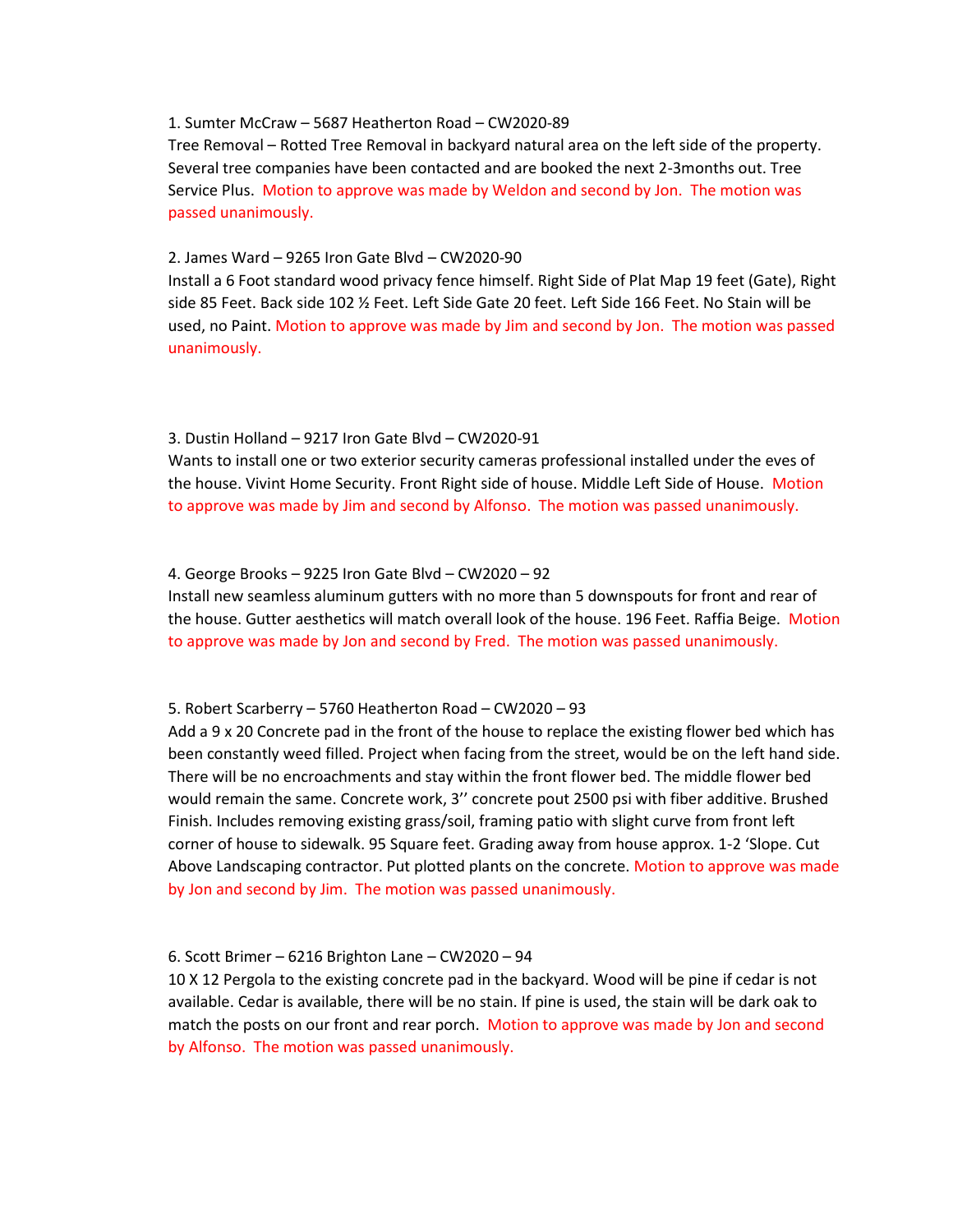#### 1. Sumter McCraw – 5687 Heatherton Road – CW2020-89

Tree Removal – Rotted Tree Removal in backyard natural area on the left side of the property. Several tree companies have been contacted and are booked the next 2-3months out. Tree Service Plus. Motion to approve was made by Weldon and second by Jon. The motion was passed unanimously.

#### 2. James Ward – 9265 Iron Gate Blvd – CW2020-90

Install a 6 Foot standard wood privacy fence himself. Right Side of Plat Map 19 feet (Gate), Right side 85 Feet. Back side 102 ½ Feet. Left Side Gate 20 feet. Left Side 166 Feet. No Stain will be used, no Paint. Motion to approve was made by Jim and second by Jon. The motion was passed unanimously.

#### 3. Dustin Holland – 9217 Iron Gate Blvd – CW2020-91

Wants to install one or two exterior security cameras professional installed under the eves of the house. Vivint Home Security. Front Right side of house. Middle Left Side of House. Motion to approve was made by Jim and second by Alfonso. The motion was passed unanimously.

#### 4. George Brooks – 9225 Iron Gate Blvd – CW2020 – 92

Install new seamless aluminum gutters with no more than 5 downspouts for front and rear of the house. Gutter aesthetics will match overall look of the house. 196 Feet. Raffia Beige. Motion to approve was made by Jon and second by Fred. The motion was passed unanimously.

#### 5. Robert Scarberry – 5760 Heatherton Road – CW2020 – 93

Add a 9 x 20 Concrete pad in the front of the house to replace the existing flower bed which has been constantly weed filled. Project when facing from the street, would be on the left hand side. There will be no encroachments and stay within the front flower bed. The middle flower bed would remain the same. Concrete work, 3'' concrete pout 2500 psi with fiber additive. Brushed Finish. Includes removing existing grass/soil, framing patio with slight curve from front left corner of house to sidewalk. 95 Square feet. Grading away from house approx. 1-2 'Slope. Cut Above Landscaping contractor. Put plotted plants on the concrete. Motion to approve was made by Jon and second by Jim. The motion was passed unanimously.

#### 6. Scott Brimer – 6216 Brighton Lane – CW2020 – 94

10 X 12 Pergola to the existing concrete pad in the backyard. Wood will be pine if cedar is not available. Cedar is available, there will be no stain. If pine is used, the stain will be dark oak to match the posts on our front and rear porch. Motion to approve was made by Jon and second by Alfonso. The motion was passed unanimously.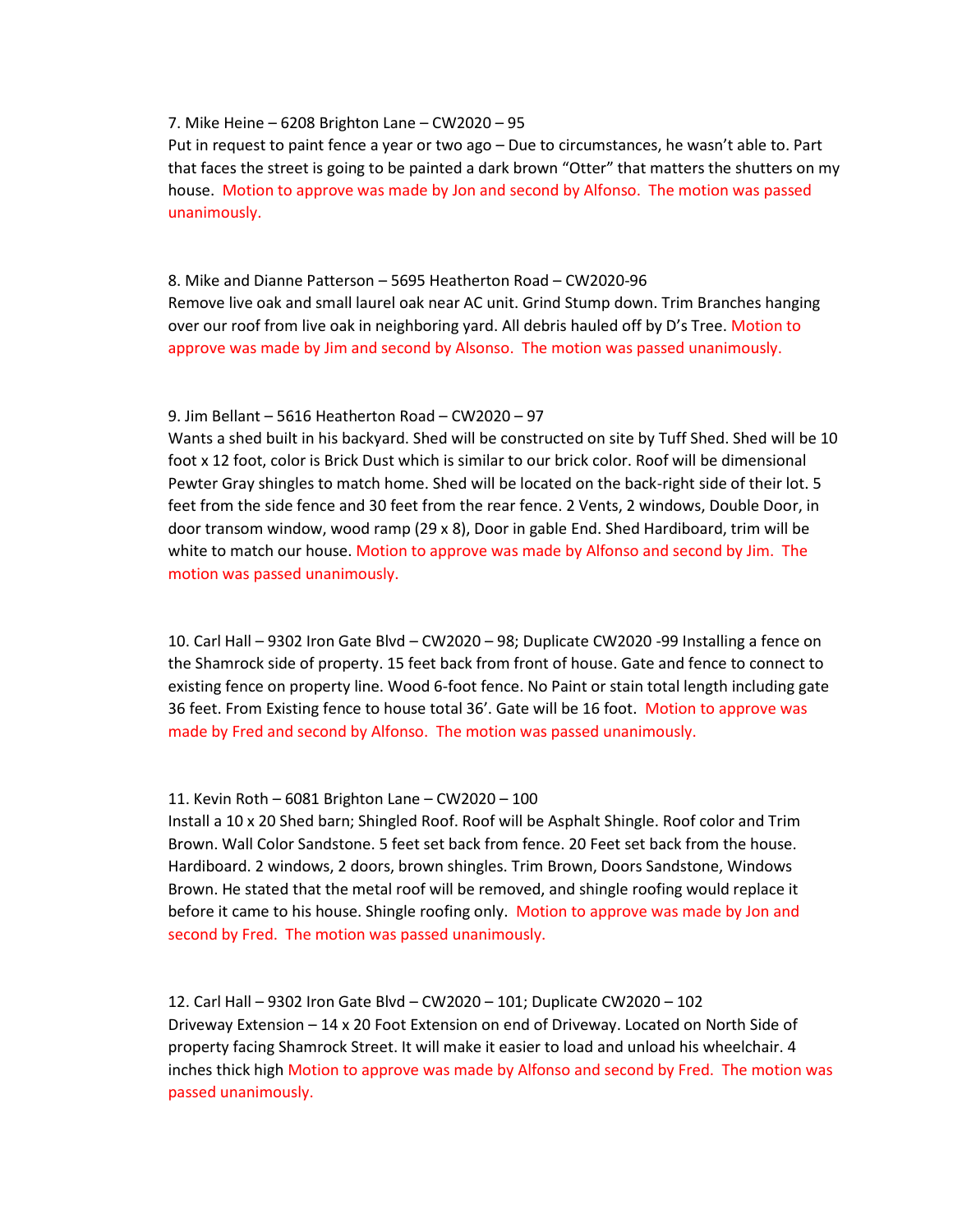#### 7. Mike Heine – 6208 Brighton Lane – CW2020 – 95

Put in request to paint fence a year or two ago – Due to circumstances, he wasn't able to. Part that faces the street is going to be painted a dark brown "Otter" that matters the shutters on my house. Motion to approve was made by Jon and second by Alfonso. The motion was passed unanimously.

#### 8. Mike and Dianne Patterson – 5695 Heatherton Road – CW2020-96

Remove live oak and small laurel oak near AC unit. Grind Stump down. Trim Branches hanging over our roof from live oak in neighboring yard. All debris hauled off by D's Tree. Motion to approve was made by Jim and second by Alsonso. The motion was passed unanimously.

#### 9. Jim Bellant – 5616 Heatherton Road – CW2020 – 97

Wants a shed built in his backyard. Shed will be constructed on site by Tuff Shed. Shed will be 10 foot x 12 foot, color is Brick Dust which is similar to our brick color. Roof will be dimensional Pewter Gray shingles to match home. Shed will be located on the back-right side of their lot. 5 feet from the side fence and 30 feet from the rear fence. 2 Vents, 2 windows, Double Door, in door transom window, wood ramp (29 x 8), Door in gable End. Shed Hardiboard, trim will be white to match our house. Motion to approve was made by Alfonso and second by Jim. The motion was passed unanimously.

10. Carl Hall – 9302 Iron Gate Blvd – CW2020 – 98; Duplicate CW2020 -99 Installing a fence on the Shamrock side of property. 15 feet back from front of house. Gate and fence to connect to existing fence on property line. Wood 6-foot fence. No Paint or stain total length including gate 36 feet. From Existing fence to house total 36'. Gate will be 16 foot. Motion to approve was made by Fred and second by Alfonso. The motion was passed unanimously.

#### 11. Kevin Roth – 6081 Brighton Lane – CW2020 – 100

Install a 10 x 20 Shed barn; Shingled Roof. Roof will be Asphalt Shingle. Roof color and Trim Brown. Wall Color Sandstone. 5 feet set back from fence. 20 Feet set back from the house. Hardiboard. 2 windows, 2 doors, brown shingles. Trim Brown, Doors Sandstone, Windows Brown. He stated that the metal roof will be removed, and shingle roofing would replace it before it came to his house. Shingle roofing only. Motion to approve was made by Jon and second by Fred. The motion was passed unanimously.

12. Carl Hall – 9302 Iron Gate Blvd – CW2020 – 101; Duplicate CW2020 – 102 Driveway Extension – 14 x 20 Foot Extension on end of Driveway. Located on North Side of property facing Shamrock Street. It will make it easier to load and unload his wheelchair. 4 inches thick high Motion to approve was made by Alfonso and second by Fred. The motion was passed unanimously.